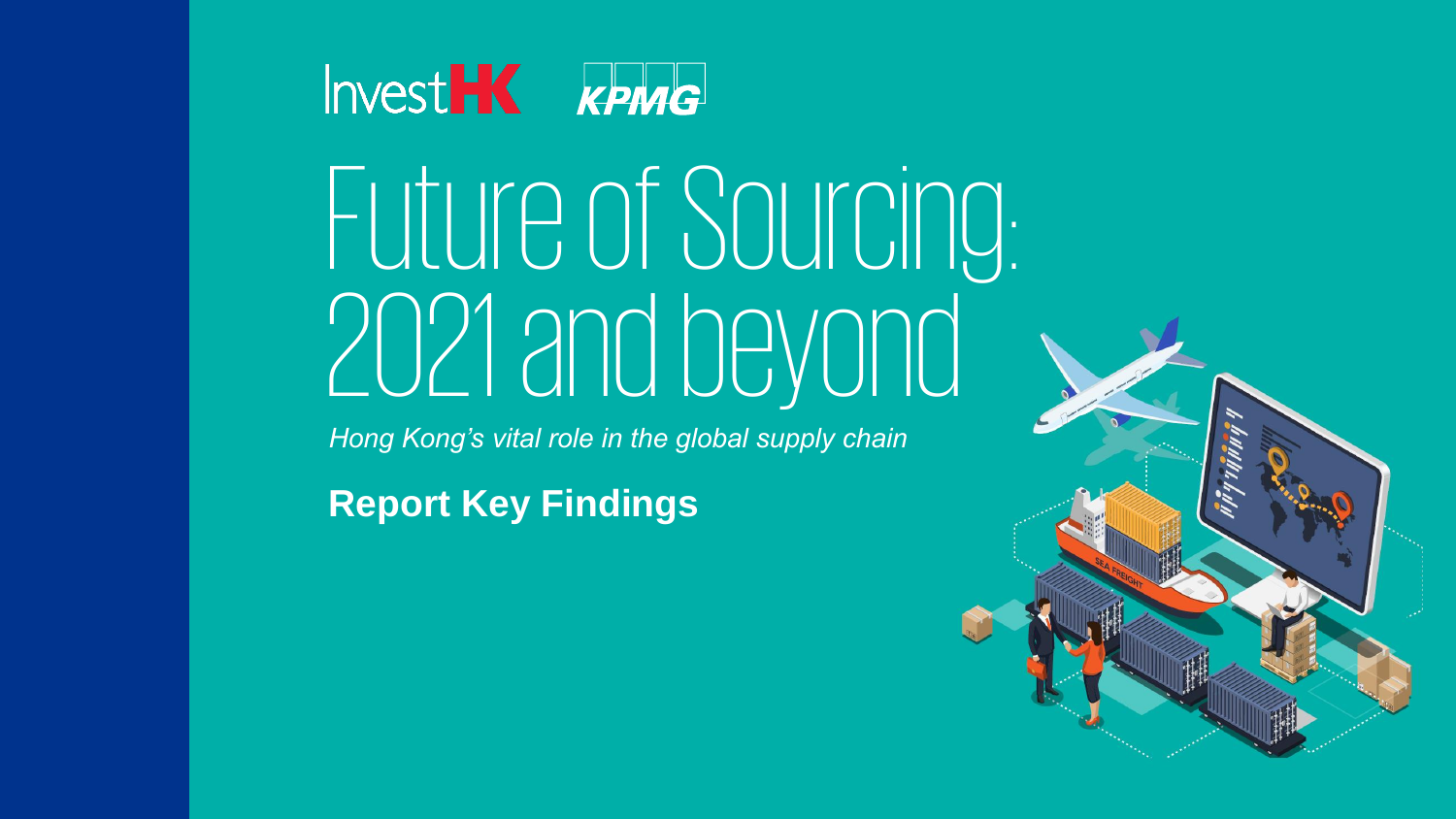

# Future of Sourcing: 2021 and beyond

*Hong Kong's vital role in the global supply chain*

**Report Key Findings**

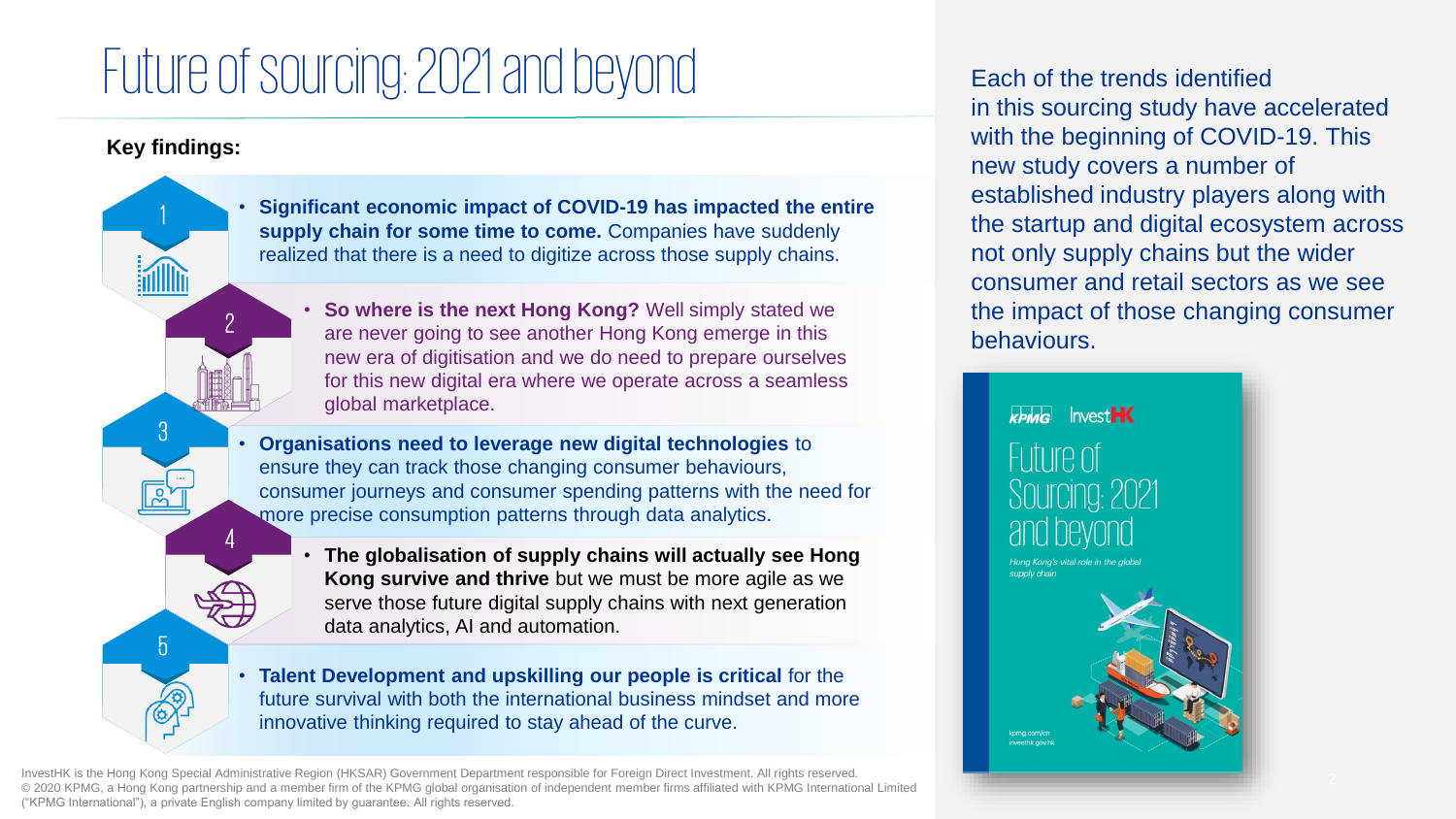# Future of sourcing: 2021 and beyond

### **Key findings:**

1

3

5

2

4

• **Significant economic impact of COVID-19 has impacted the entire**  supply chain for some time to come. Companies have suddenly realized that there is a need to digitize across those supply chains.

• **So where is the next Hong Kong?** Well simply stated we are never going to see another Hong Kong emerge in this new era of digitisation and we do need to prepare ourselves for this new digital era where we operate across a seamless global marketplace.

• **Organisations need to leverage new digital technologies** to ensure they can track those changing consumer behaviours, consumer journeys and consumer spending patterns with the need for more precise consumption patterns through data analytics.

• **The globalisation of supply chains will actually see Hong Kong survive and thrive** but we must be more agile as we serve those future digital supply chains with next generation data analytics, AI and automation.

• **Talent Development and upskilling our people is critical** for the future survival with both the international business mindset and more innovative thinking required to stay ahead of the curve.

InvestHK is the Hong Kong Special Administrative Region (HKSAR) Government Department responsible for Foreign Direct Investment. All rights reserved. © 2020 KPMG, a Hong Kong partnership and a member firm of the KPMG global organisation of independent member firms affiliated with KPMG International Limited ("KPMG International"), a private English company limited by guarantee. All rights reserved.

Each of the trends identified in this sourcing study have accelerated with the beginning of COVID-19. This new study covers a number of established industry players along with the startup and digital ecosystem across not only supply chains but the wider consumer and retail sectors as we see the impact of those changing consumer behaviours.

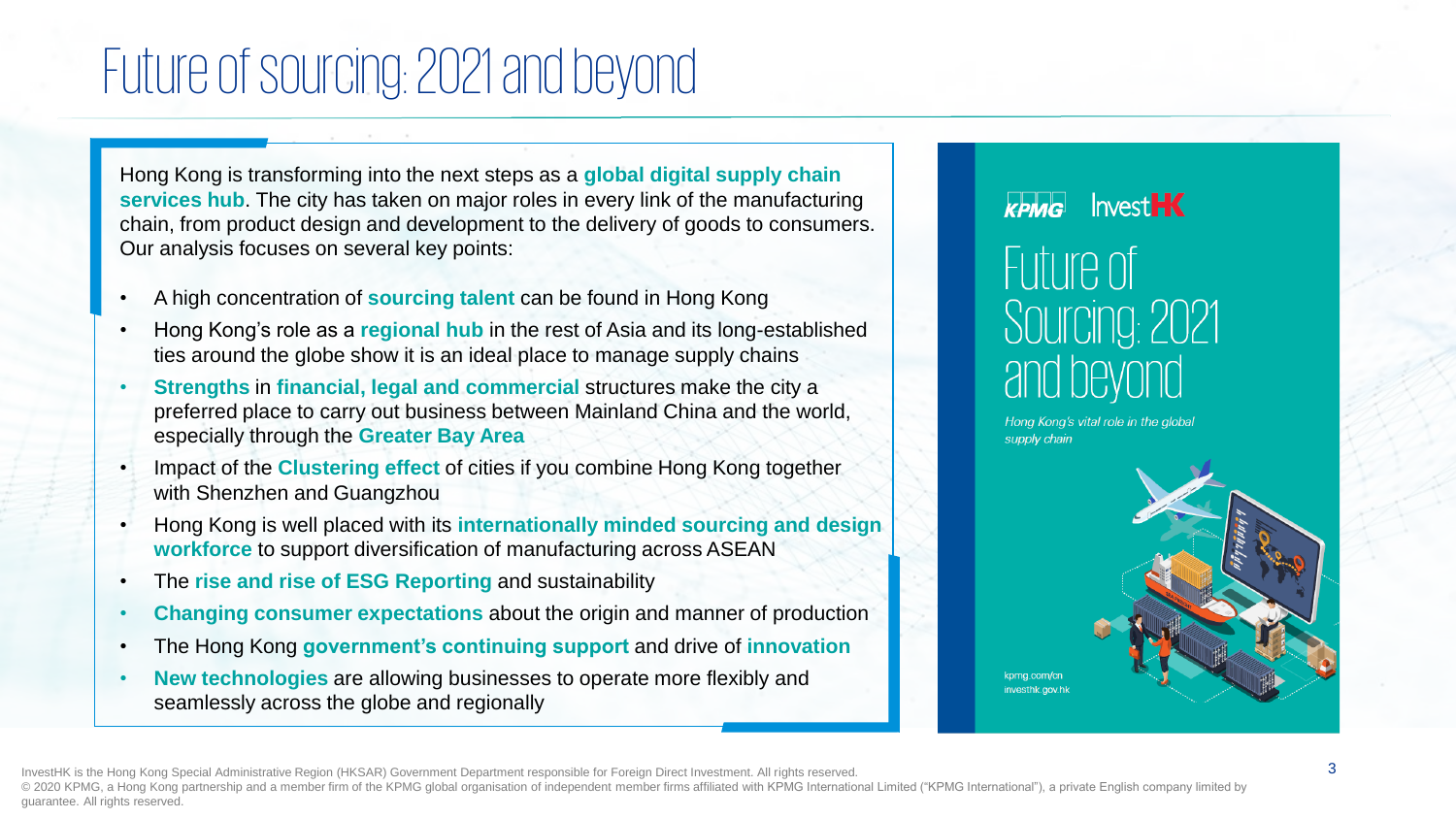## Future of sourcing: 2021 and beyond

Hong Kong is transforming into the next steps as a **global digital supply chain services hub**. The city has taken on major roles in every link of the manufacturing chain, from product design and development to the delivery of goods to consumers. Our analysis focuses on several key points:

- A high concentration of **sourcing talent** can be found in Hong Kong
- Hong Kong's role as a **regional hub** in the rest of Asia and its long-established ties around the globe show it is an ideal place to manage supply chains
- **Strengths** in **financial, legal and commercial** structures make the city a preferred place to carry out business between Mainland China and the world, especially through the **Greater Bay Area**
- Impact of the **Clustering effect** of cities if you combine Hong Kong together with Shenzhen and Guangzhou
- Hong Kong is well placed with its **internationally minded sourcing and design workforce** to support diversification of manufacturing across ASEAN
- The **rise and rise of ESG Reporting** and sustainability
- **Changing consumer expectations** about the origin and manner of production
- The Hong Kong **government's continuing support** and drive of **innovation**
- **New technologies** are allowing businesses to operate more flexibly and seamlessly across the globe and regionally

## **InvestHK** KPMG Future of Sourcing: 2021 and beyond

Hong Kong's vital role in the global supply chain

kpmg.com/cn investhk.gov.hk

InvestHK is the Hong Kong Special Administrative Region (HKSAR) Government Department responsible for Foreign Direct Investment. All rights reserved. © 2020 KPMG, a Hong Kong partnership and a member firm of the KPMG global organisation of independent member firms affiliated with KPMG International Limited ("KPMG International"), a private English company limited by guarantee. All rights reserved.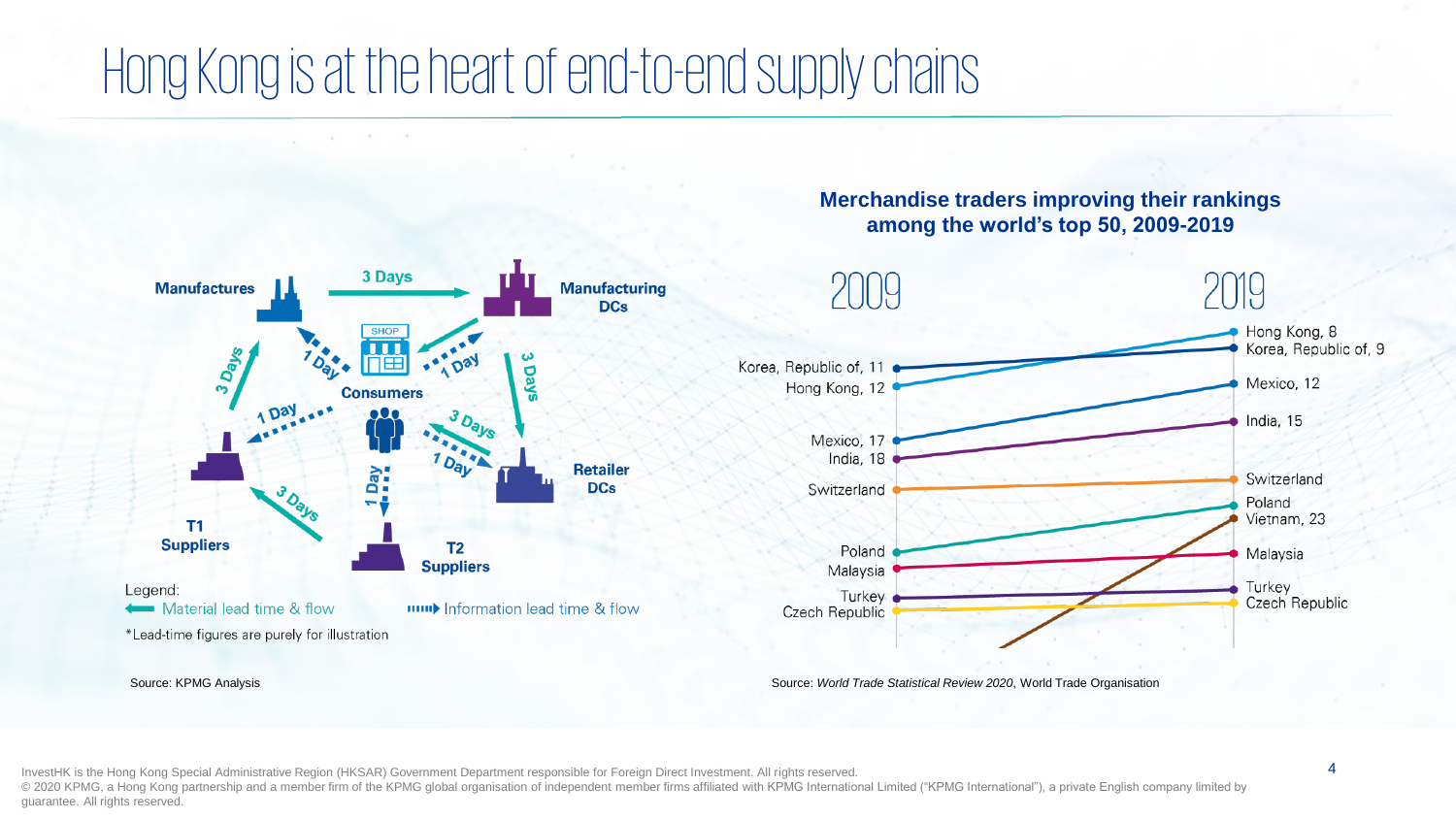## Hong Kong is at the heart of end-to-end supply chains



#### **Merchandise traders improving their rankings among the world's top 50, 2009-2019**



InvestHK is the Hong Kong Special Administrative Region (HKSAR) Government Department responsible for Foreign Direct Investment. All rights reserved. © 2020 KPMG, a Hong Kong partnership and a member firm of the KPMG global organisation of independent member firms affiliated with KPMG International Limited ("KPMG International"), a private English company limited by guarantee. All rights reserved.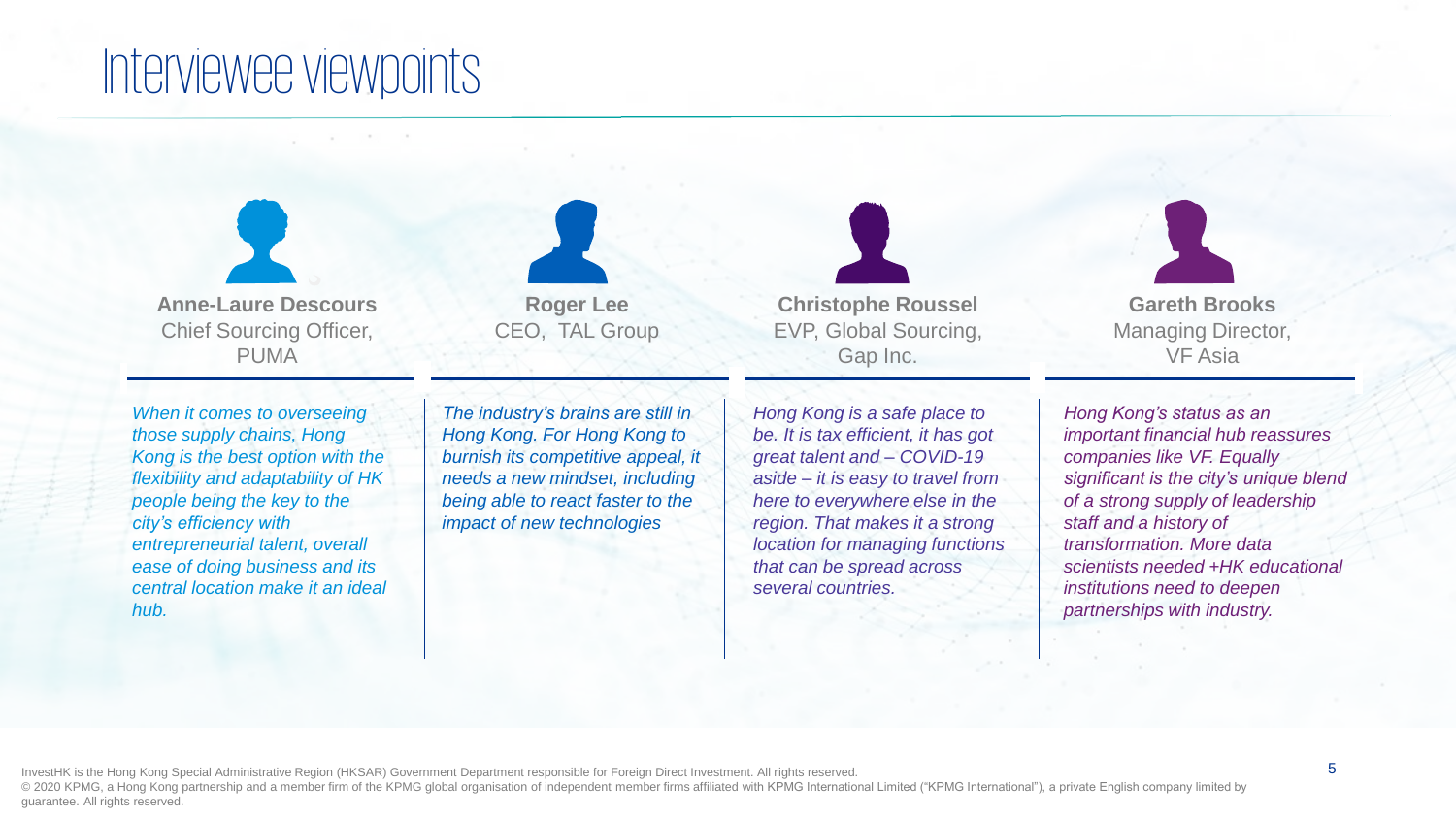## Interviewee viewpoints

**Anne-Laure Descours** Chief Sourcing Officer, PUMA

*When it comes to overseeing those supply chains, Hong Kong is the best option with the flexibility and adaptability of HK people being the key to the city's efficiency with entrepreneurial talent, overall ease of doing business and its central location make it an ideal hub.* 

*The industry's brains are still in Hong Kong. For Hong Kong to burnish its competitive appeal, it needs a new mindset, including being able to react faster to the impact of new technologies*

**Roger Lee** CEO, TAL Group



*Hong Kong is a safe place to be. It is tax efficient, it has got great talent and – COVID-19 aside – it is easy to travel from here to everywhere else in the region. That makes it a strong location for managing functions that can be spread across several countries.*



*Hong Kong's status as an important financial hub reassures companies like VF. Equally significant is the city's unique blend of a strong supply of leadership staff and a history of transformation. More data scientists needed +HK educational institutions need to deepen partnerships with industry.*

InvestHK is the Hong Kong Special Administrative Region (HKSAR) Government Department responsible for Foreign Direct Investment. All rights reserved. © 2020 KPMG, a Hong Kong partnership and a member firm of the KPMG global organisation of independent member firms affiliated with KPMG International Limited ("KPMG International"), a private English company limited by guarantee. All rights reserved.